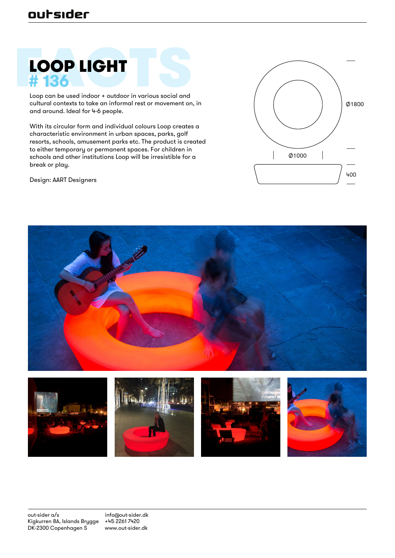### outsider

## LOOP LIGHT **# 136**

Loop can be used indoor + outdoor in various social and cultural contexts to take an informal rest or movement on, in and around. Ideal for 4-6 people.

With its circular form and individual colours Loop creates a characteristic environment in urban spaces, parks, golf resorts, schools, amusement parks etc. The product is created to either temporary or permanent spaces. For children in schools and other institutions Loop will be irresistible for a break or play.

Design: AART Designers





info@out-sider.dk +45 2261 7420 www.out-sider.dk